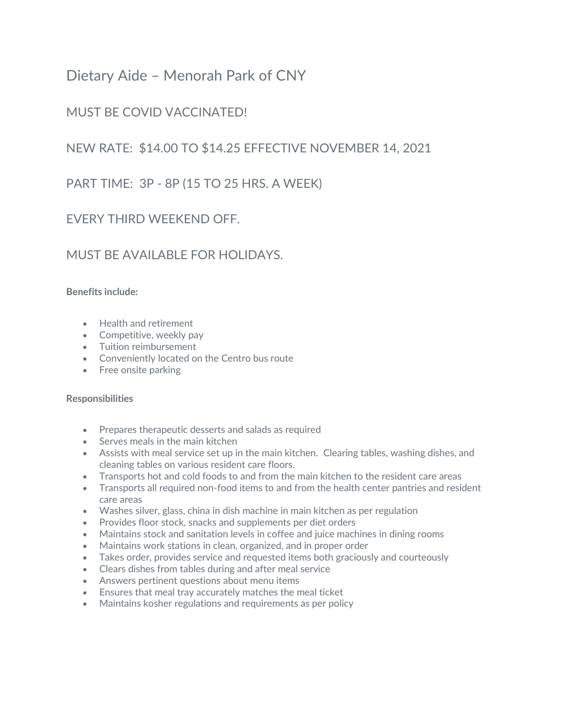# Dietary Aide – Menorah Park of CNY

## MUST BE COVID VACCINATED!

### NEW RATE: \$14.00 TO \$14.25 EFFECTIVE NOVEMBER 14, 2021

PART TIME: 3P - 8P (15 TO 25 HRS. A WEEK)

### EVERY THIRD WEEKEND OFF.

#### MUST BE AVAILABLE FOR HOLIDAYS.

#### **Benefits include:**

- Health and retirement
- Competitive, weekly pay
- Tuition reimbursement
- Conveniently located on the Centro bus route
- Free onsite parking

#### **Responsibilities**

- Prepares therapeutic desserts and salads as required
- Serves meals in the main kitchen
- Assists with meal service set up in the main kitchen. Clearing tables, washing dishes, and cleaning tables on various resident care floors.
- Transports hot and cold foods to and from the main kitchen to the resident care areas
- Transports all required non-food items to and from the health center pantries and resident care areas
- Washes silver, glass, china in dish machine in main kitchen as per regulation
- Provides floor stock, snacks and supplements per diet orders
- Maintains stock and sanitation levels in coffee and juice machines in dining rooms
- Maintains work stations in clean, organized, and in proper order
- Takes order, provides service and requested items both graciously and courteously
- Clears dishes from tables during and after meal service
- Answers pertinent questions about menu items
- Ensures that meal tray accurately matches the meal ticket
- Maintains kosher regulations and requirements as per policy